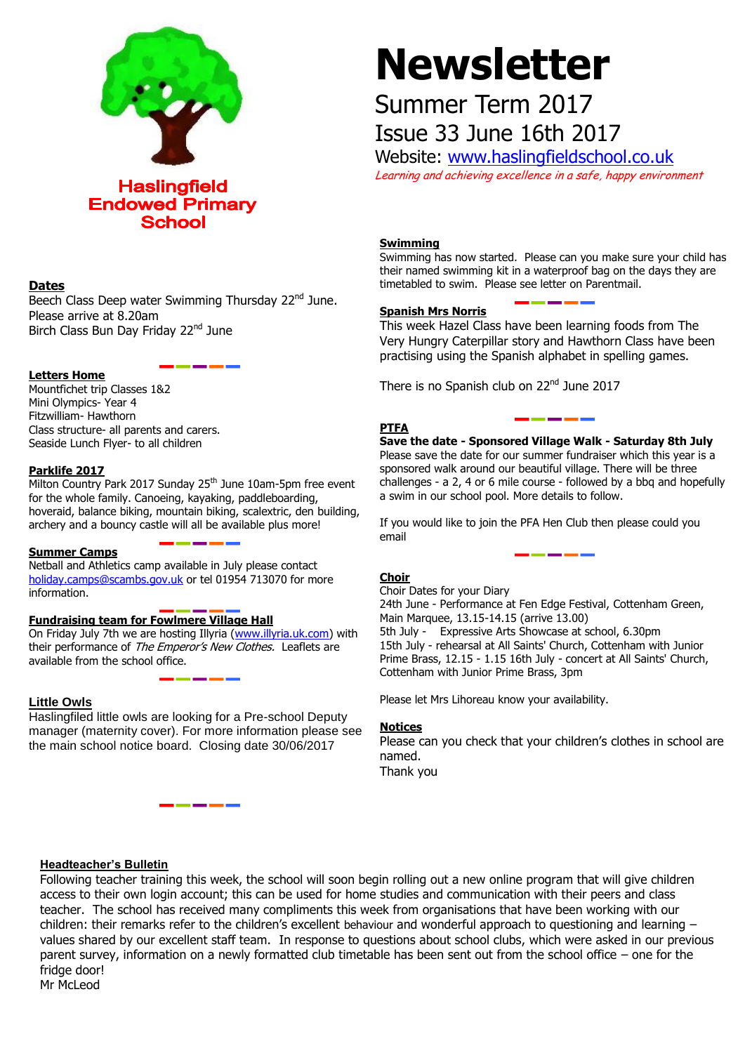

# **Dates**

Beech Class Deep water Swimming Thursday 22<sup>nd</sup> June. Please arrive at 8.20am Birch Class Bun Day Friday 22<sup>nd</sup> June

#### **Letters Home**

Mountfichet trip Classes 1&2 Mini Olympics- Year 4 Fitzwilliam- Hawthorn Class structure- all parents and carers. Seaside Lunch Flyer- to all children

#### **Parklife 2017**

Milton Country Park 2017 Sunday 25<sup>th</sup> June 10am-5pm free event for the whole family. Canoeing, kayaking, paddleboarding, hoveraid, balance biking, mountain biking, scalextric, den building, archery and a bouncy castle will all be available plus more!

# **Summer Camps**

Netball and Athletics camp available in July please contact [holiday.camps@scambs.gov.uk](mailto:holiday.camps@scambs.gov.uk) or tel 01954 713070 for more information.

# **Fundraising team for Fowlmere Village Hall**

On Friday July 7th we are hosting Illyria [\(www.illyria.uk.com\)](http://www.illyria.uk.com/) with their performance of The Emperor's New Clothes. Leaflets are available from the school office.

# **Little Owls**

Haslingfiled little owls are looking for a Pre-school Deputy manager (maternity cover). For more information please see the main school notice board. Closing date 30/06/2017

# **Newsletter**

# Summer Term 2017 Issue 33 June 16th 2017

Website: [www.haslingfieldschool.co.uk](http://www.haslingfieldschool.co.uk/) Learning and achieving excellence in a safe, happy environment

# **Swimming**

Swimming has now started. Please can you make sure your child has their named swimming kit in a waterproof bag on the days they are timetabled to swim. Please see letter on Parentmail.

# **Spanish Mrs Norris**

This week Hazel Class have been learning foods from The Very Hungry Caterpillar story and Hawthorn Class have been practising using the Spanish alphabet in spelling games.

There is no Spanish club on 22<sup>nd</sup> June 2017

#### **PTFA**

**Save the date - Sponsored Village Walk - Saturday 8th July** Please save the date for our summer fundraiser which this year is a sponsored walk around our beautiful village. There will be three challenges - a 2, 4 or 6 mile course - followed by a bbq and hopefully a swim in our school pool. More details to follow.

If you would like to join the PFA Hen Club then please could you email

# **Choir**

Prime Brass, 12.15 - 1.15 16th July - concert at All Saints' Church, Choir Dates for your Diary 24th June - Performance at Fen Edge Festival, Cottenham Green, Main Marquee, 13.15-14.15 (arrive 13.00) 5th July - Expressive Arts Showcase at school, 6.30pm 15th July - rehearsal at All Saints' Church, Cottenham with Junior Cottenham with Junior Prime Brass, 3pm

Please let Mrs Lihoreau know your availability.

#### **Notices**

Please can you check that your children's clothes in school are named. Thank you

# **Headteacher's Bulletin**

Following teacher training this week, the school will soon begin rolling out a new online program that will give children access to their own login account; this can be used for home studies and communication with their peers and class teacher. The school has received many compliments this week from organisations that have been working with our children: their remarks refer to the children's excellent behaviour and wonderful approach to questioning and learning – values shared by our excellent staff team. In response to questions about school clubs, which were asked in our previous parent survey, information on a newly formatted club timetable has been sent out from the school office – one for the fridge door!

Mr McLeod